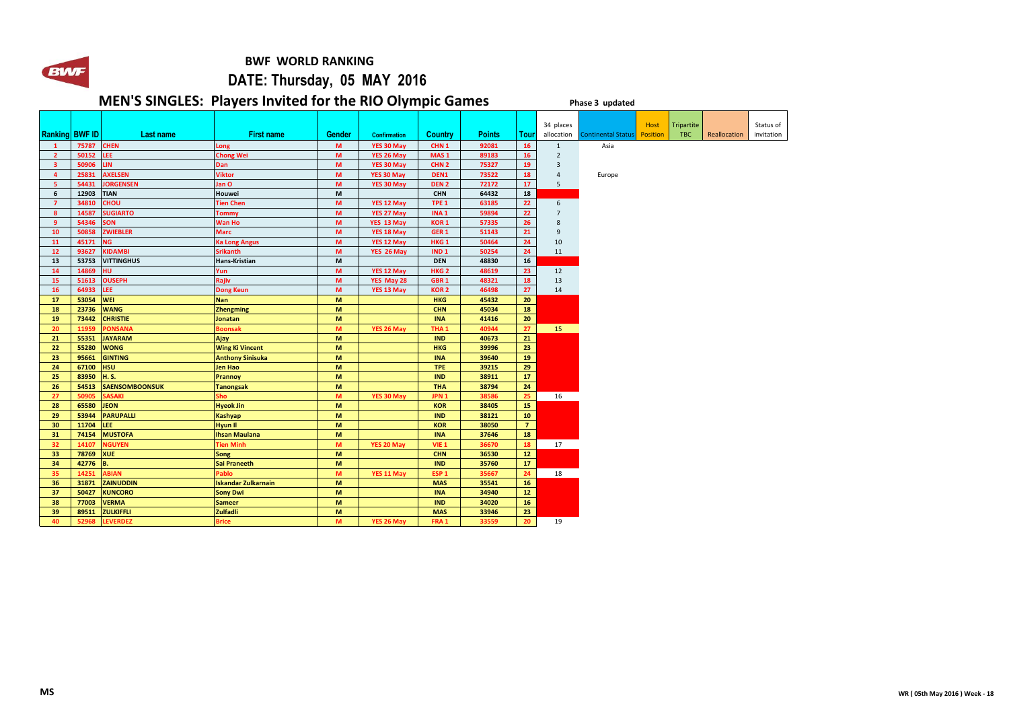

 **BWF WORLD RANKING** 

## **DATE: Thursday, 05 MAY 2016**

## **MEN'S SINGLES: Players Invited for the RIO Olympic Games Phase 3** updated

|                         |       |                       |                            |        |                     |                  |               |                 | 34 places      |                           | Host            | <b>Tripartite</b> |              | Status of  |
|-------------------------|-------|-----------------------|----------------------------|--------|---------------------|------------------|---------------|-----------------|----------------|---------------------------|-----------------|-------------------|--------------|------------|
| <b>Ranking BWF ID</b>   |       | <b>Last name</b>      | <b>First name</b>          | Gender | <b>Confirmation</b> | <b>Country</b>   | <b>Points</b> | Tour            | allocation     | <b>Continental Status</b> | <b>Position</b> | <b>TBC</b>        | Reallocation | invitation |
| $\mathbf{1}$            | 75787 | <b>CHEN</b>           | Long                       | M      | YES 30 May          | CHN <sub>1</sub> | 92081         | 16              | $\mathbf{1}$   | Asia                      |                 |                   |              |            |
| $\overline{2}$          | 50152 | LEE                   | <b>Chong Wei</b>           | M      | YES 26 May          | MAS <sub>1</sub> | 89183         | 16              | $\overline{2}$ |                           |                 |                   |              |            |
| $\overline{\mathbf{3}}$ | 50906 | <b>LIN</b>            | Dan                        | M      | YES 30 May          | CHN <sub>2</sub> | 75327         | 19              | $\overline{3}$ |                           |                 |                   |              |            |
| 4                       | 25831 | <b>AXELSEN</b>        | <b>Viktor</b>              | M      | YES 30 May          | DEN <sub>1</sub> | 73522         | 18              | $\overline{4}$ | Europe                    |                 |                   |              |            |
| 5                       | 54431 | <b>JORGENSEN</b>      | Jan O                      | M      | YES 30 May          | DEN <sub>2</sub> | 72172         | 17 <sup>2</sup> | 5              |                           |                 |                   |              |            |
| 6                       | 12903 | <b>TIAN</b>           | Houwei                     | M      |                     | <b>CHN</b>       | 64432         | 18              |                |                           |                 |                   |              |            |
| $\overline{7}$          | 34810 | <b>CHOU</b>           | <b>Tien Chen</b>           | M      | YES 12 May          | TPE <sub>1</sub> | 63185         | 22              | 6              |                           |                 |                   |              |            |
| 8                       | 14587 | <b>SUGIARTO</b>       | <b>Tommy</b>               | M      | YES 27 May          | INA <sub>1</sub> | 59894         | 22              | $\overline{7}$ |                           |                 |                   |              |            |
| $\overline{9}$          | 54346 | <b>SON</b>            | <b>Wan Ho</b>              | M      | YES 13 May          | KOR <sub>1</sub> | 57335         | 26              | 8              |                           |                 |                   |              |            |
| 10                      | 50858 | <b>ZWIEBLER</b>       | <b>Marc</b>                | M      | YES 18 May          | GER <sub>1</sub> | 51143         | 21              | $\overline{9}$ |                           |                 |                   |              |            |
| 11                      | 45171 | NG.                   | <b>Ka Long Angus</b>       | M      | YES 12 May          | HKG <sub>1</sub> | 50464         | 24              | 10             |                           |                 |                   |              |            |
| 12                      | 93627 | <b>KIDAMBI</b>        | <b>Srikanth</b>            | M      | YES 26 May          | IND <sub>1</sub> | 50254         | 24              | 11             |                           |                 |                   |              |            |
| 13                      | 53753 | <b>VITTINGHUS</b>     | Hans-Kristian              | M      |                     | <b>DEN</b>       | 48830         | 16              |                |                           |                 |                   |              |            |
| 14                      | 14869 | <b>HU</b>             | Yun                        | M      | YES 12 May          | HKG <sub>2</sub> | 48619         | 23              | 12             |                           |                 |                   |              |            |
| 15                      | 51613 | <b>OUSEPH</b>         | Rajiv                      | M      | YES May 28          | GBR <sub>1</sub> | 48321         | 18              | 13             |                           |                 |                   |              |            |
| 16                      | 64933 | LEE.                  | <b>Dong Keun</b>           | M      | YES 13 May          | <b>KOR2</b>      | 46498         | 27              | 14             |                           |                 |                   |              |            |
| 17                      | 53054 | <b>WEI</b>            | <b>Nan</b>                 | M      |                     | <b>HKG</b>       | 45432         | 20              |                |                           |                 |                   |              |            |
| 18                      | 23736 | <b>WANG</b>           | <b>Zhengming</b>           | M      |                     | <b>CHN</b>       | 45034         | 18              |                |                           |                 |                   |              |            |
| 19                      | 73442 | <b>CHRISTIE</b>       | <b>Jonatan</b>             | M      |                     | <b>INA</b>       | 41416         | 20              |                |                           |                 |                   |              |            |
| 20                      | 11959 | PONSANA               | <b>Boonsak</b>             | M      | YES 26 May          | THA <sub>1</sub> | 40944         | 27              | 15             |                           |                 |                   |              |            |
| 21                      | 55351 | <b>JAYARAM</b>        | Ajay                       | M      |                     | <b>IND</b>       | 40673         | 21              |                |                           |                 |                   |              |            |
| 22                      | 55280 | <b>WONG</b>           | <b>Wing Ki Vincent</b>     | M      |                     | <b>HKG</b>       | 39996         | 23              |                |                           |                 |                   |              |            |
| 23                      | 95661 | <b>GINTING</b>        | <b>Anthony Sinisuka</b>    | M      |                     | <b>INA</b>       | 39640         | 19              |                |                           |                 |                   |              |            |
| 24                      | 67100 | <b>HSU</b>            | <b>Jen Hao</b>             | M      |                     | <b>TPE</b>       | 39215         | 29              |                |                           |                 |                   |              |            |
| 25                      | 83950 | <b>H.S.</b>           | Prannoy                    | M      |                     | <b>IND</b>       | 38911         | 17 <sub>2</sub> |                |                           |                 |                   |              |            |
| 26                      | 54513 | <b>SAENSOMBOONSUK</b> | <b>Tanongsak</b>           | M      |                     | <b>THA</b>       | 38794         | 24              |                |                           |                 |                   |              |            |
| 27                      | 50905 | SASAKI                | Sho                        | M      | YES 30 May          | JPN <sub>1</sub> | 38586         | 25              | 16             |                           |                 |                   |              |            |
| 28                      | 65580 | <b>JEON</b>           | <b>Hyeok Jin</b>           | M      |                     | <b>KOR</b>       | 38405         | 15              |                |                           |                 |                   |              |            |
| 29                      | 53944 | <b>PARUPALLI</b>      | <b>Kashyap</b>             | M      |                     | <b>IND</b>       | 38121         | 10              |                |                           |                 |                   |              |            |
| 30                      | 11704 | LEE.                  | <b>Hyun II</b>             | M      |                     | <b>KOR</b>       | 38050         | 7 <sup>7</sup>  |                |                           |                 |                   |              |            |
| 31                      | 74154 | <b>MUSTOFA</b>        | <b>Ihsan Maulana</b>       | M      |                     | <b>INA</b>       | 37646         | 18              |                |                           |                 |                   |              |            |
| 32 <sub>2</sub>         | 14107 | <b>NGUYEN</b>         | <b>Tien Minh</b>           | M      | YES 20 May          | VIE <sub>1</sub> | 36670         | 18              | 17             |                           |                 |                   |              |            |
| 33                      | 78769 | <b>XUE</b>            | <b>Song</b>                | M      |                     | <b>CHN</b>       | 36530         | 12              |                |                           |                 |                   |              |            |
| 34                      | 42776 | <b>B.</b>             | <b>Sai Praneeth</b>        | M      |                     | <b>IND</b>       | 35760         | 17              |                |                           |                 |                   |              |            |
| 35                      | 14251 | <b>ABIAN</b>          | Pablo                      | M      | YES 11 May          | ESP <sub>1</sub> | 35667         | 24              | 18             |                           |                 |                   |              |            |
| 36                      | 31871 | <b>ZAINUDDIN</b>      | <b>Iskandar Zulkarnain</b> | M      |                     | <b>MAS</b>       | 35541         | 16              |                |                           |                 |                   |              |            |
| 37                      | 50427 | <b>KUNCORO</b>        | <b>Sony Dwi</b>            | M      |                     | <b>INA</b>       | 34940         | 12              |                |                           |                 |                   |              |            |
| 38                      | 77003 | <b>VERMA</b>          | <b>Sameer</b>              | M      |                     | <b>IND</b>       | 34020         | 16 <sup>2</sup> |                |                           |                 |                   |              |            |
| 39                      | 89511 | <b>ZULKIFFLI</b>      | <b>Zulfadli</b>            | M      |                     | <b>MAS</b>       | 33946         | 23              |                |                           |                 |                   |              |            |
| 40                      | 52968 | <b>LEVERDEZ</b>       | <b>Brice</b>               | M      | YES 26 May          | FRA <sub>1</sub> | 33559         | 20              | 19             |                           |                 |                   |              |            |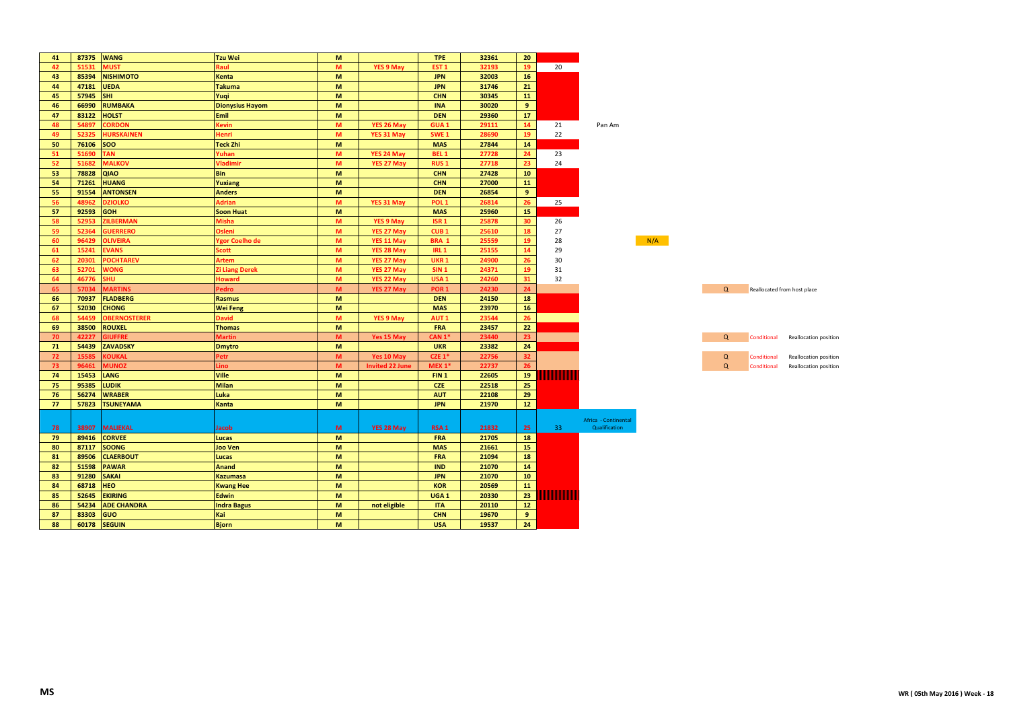| 41 | 87375 | <b>WANG</b>         | <b>Tzu Wei</b>         | M                                                                                                          |                        | <b>TPE</b>       | 32361 | 20              |    |                      |     |          |             |                             |
|----|-------|---------------------|------------------------|------------------------------------------------------------------------------------------------------------|------------------------|------------------|-------|-----------------|----|----------------------|-----|----------|-------------|-----------------------------|
| 42 | 51531 | <b>MUST</b>         | Raul                   | M                                                                                                          | <b>YES 9 May</b>       | EST <sub>1</sub> | 32193 | 19              | 20 |                      |     |          |             |                             |
| 43 | 85394 | <b>NISHIMOTO</b>    | Kenta                  | M                                                                                                          |                        | <b>JPN</b>       | 32003 | 16              |    |                      |     |          |             |                             |
| 44 | 47181 | <b>UEDA</b>         | <b>Takuma</b>          | M                                                                                                          |                        | <b>JPN</b>       | 31746 | 21              |    |                      |     |          |             |                             |
| 45 | 57945 | <b>SHI</b>          | Yuqi                   | M                                                                                                          |                        | <b>CHN</b>       | 30345 | 11              |    |                      |     |          |             |                             |
| 46 | 66990 | <b>RUMBAKA</b>      | <b>Dionysius Hayom</b> | M                                                                                                          |                        | <b>INA</b>       | 30020 | 9               |    |                      |     |          |             |                             |
| 47 | 83122 | <b>HOLST</b>        | Emil                   | M                                                                                                          |                        | <b>DEN</b>       | 29360 | 17              |    |                      |     |          |             |                             |
| 48 | 54897 | <b>CORDON</b>       | <b>Cevin</b>           | $\mathbf M$                                                                                                | YES 26 May             | <b>GUA1</b>      | 29111 | 14              | 21 | Pan Am               |     |          |             |                             |
| 49 | 52325 | HURSKAINEN          | Henri                  | M                                                                                                          | YES 31 May             | SWE <sub>1</sub> | 28690 | 19              | 22 |                      |     |          |             |                             |
| 50 | 76106 | <b>SOO</b>          | <b>Teck Zhi</b>        | M                                                                                                          |                        | <b>MAS</b>       | 27844 | 14              |    |                      |     |          |             |                             |
| 51 | 51690 | <b>TAN</b>          | Yuhan                  | M                                                                                                          | YES 24 May             | BEL <sub>1</sub> | 27728 | 24              | 23 |                      |     |          |             |                             |
| 52 | 51682 | <b>MALKOV</b>       | Vladimir               | M                                                                                                          | YES 27 May             | <b>RUS1</b>      | 27718 | 23              | 24 |                      |     |          |             |                             |
| 53 | 78828 | <b>QIAO</b>         | <b>Bin</b>             | M                                                                                                          |                        | <b>CHN</b>       | 27428 | 10              |    |                      |     |          |             |                             |
| 54 | 71261 | <b>HUANG</b>        | Yuxiang                | M                                                                                                          |                        | <b>CHN</b>       | 27000 | 11              |    |                      |     |          |             |                             |
| 55 | 91554 | <b>ANTONSEN</b>     | <b>Anders</b>          | M                                                                                                          |                        | <b>DEN</b>       | 26854 | 9               |    |                      |     |          |             |                             |
| 56 | 48962 | <b>DZIOLKO</b>      | <b>Adrian</b>          | M                                                                                                          | YES 31 May             | POL <sub>1</sub> | 26814 | 26              | 25 |                      |     |          |             |                             |
| 57 | 92593 | <b>GOH</b>          | <b>Soon Huat</b>       | M                                                                                                          |                        | <b>MAS</b>       | 25960 | 15              |    |                      |     |          |             |                             |
| 58 | 52953 | <b>ILBERMAN</b>     | Misha                  | M                                                                                                          | YES 9 May              | ISR <sub>1</sub> | 25878 | 30              | 26 |                      |     |          |             |                             |
| 59 | 52364 | <b>SUERRERO</b>     | <b>Osleni</b>          | M                                                                                                          | YES 27 May             | CUB <sub>1</sub> | 25610 | 18              | 27 |                      |     |          |             |                             |
| 60 | 96429 | <b>OLIVEIRA</b>     | Ygor Coelho de         | M                                                                                                          | YES 11 May             | BRA 1            | 25559 | 19              | 28 |                      | N/A |          |             |                             |
| 61 | 15241 | <b>EVANS</b>        | <b>scott</b>           | M                                                                                                          | YES 28 May             | <b>IRL 1</b>     | 25155 | 14              | 29 |                      |     |          |             |                             |
| 62 | 20301 | POCHTAREV           | Artem                  | M                                                                                                          | YES 27 May             | UKR <sub>1</sub> | 24900 | 26              | 30 |                      |     |          |             |                             |
| 63 | 52701 | <b>WONG</b>         | Zi Liang Derek         | M                                                                                                          | YES 27 May             | <b>SIN 1</b>     | 24371 | 19              | 31 |                      |     |          |             |                             |
| 64 | 46776 | <b>HU</b>           | <b>Howard</b>          | M                                                                                                          | YES 22 May             | USA <sub>1</sub> | 24260 | 31              | 32 |                      |     |          |             |                             |
| 65 | 57034 | <b>MARTINS</b>      | Pedro                  | M                                                                                                          | YES 27 May             | POR <sub>1</sub> | 24230 | 24              |    |                      |     | $\alpha$ |             | Reallocated from host place |
| 66 | 70937 | <b>FLADBERG</b>     | <b>Rasmus</b>          | M                                                                                                          |                        | <b>DEN</b>       | 24150 | 18              |    |                      |     |          |             |                             |
| 67 | 52030 | <b>CHONG</b>        | <b>Wei Feng</b>        | M                                                                                                          |                        | <b>MAS</b>       | 23970 | 16              |    |                      |     |          |             |                             |
| 68 | 54459 | <b>OBERNOSTERER</b> | <b>David</b>           | M                                                                                                          | <b>YES 9 May</b>       | AUT <sub>1</sub> | 23544 | 26              |    |                      |     |          |             |                             |
| 69 | 38500 | <b>ROUXEL</b>       | <b>Thomas</b>          | M                                                                                                          |                        | <b>FRA</b>       | 23457 | 22              |    |                      |     |          |             |                             |
| 70 | 42227 | <b>SIUFFRE</b>      | <b>Martin</b>          | M                                                                                                          | Yes 15 May             | CAN 1*           | 23440 | 23              |    |                      |     | $\Omega$ | Conditional | Reallocation position       |
| 71 | 54439 | <b>ZAVADSKY</b>     | <b>Dmytro</b>          | M                                                                                                          |                        | <b>UKR</b>       | 23382 | 24              |    |                      |     |          |             |                             |
| 72 | 15585 | <b>COUKAL</b>       | Petr                   | $\mathsf{M}% _{T}=\mathsf{M}_{T}\!\left( a,b\right) ,\ \mathsf{M}_{T}=\mathsf{M}_{T}\!\left( a,b\right) ,$ | Yes 10 May             | $CZE$ 1*         | 22756 | 32 <sub>2</sub> |    |                      |     | Q        | Conditional | Reallocation position       |
| 73 | 96461 | <b>NUNOZ</b>        | Lino                   | M                                                                                                          | <b>Invited 22 June</b> | $MEX 1*$         | 22737 | 26              |    |                      |     | $\Omega$ | Conditional | Reallocation position       |
| 74 | 15453 | <b>LANG</b>         | Ville                  | $\mathsf{M}\xspace$                                                                                        |                        | FIN <sub>1</sub> | 22605 | 19              |    |                      |     |          |             |                             |
| 75 | 95385 | LUDIK               | <b>Milan</b>           | M                                                                                                          |                        | <b>CZE</b>       | 22518 | 25              |    |                      |     |          |             |                             |
| 76 | 56274 | <b>WRABER</b>       | Luka                   | M                                                                                                          |                        | <b>AUT</b>       | 22108 | 29              |    |                      |     |          |             |                             |
| 77 | 57823 | <b>TSUNEYAMA</b>    | Kanta                  | M                                                                                                          |                        | <b>JPN</b>       | 21970 | 12              |    |                      |     |          |             |                             |
|    |       |                     |                        |                                                                                                            |                        |                  |       |                 |    |                      |     |          |             |                             |
|    |       |                     |                        |                                                                                                            |                        |                  |       |                 |    | Africa - Continental |     |          |             |                             |
| 78 | 38907 | <b>MALIEKAL</b>     | <b>Jacob</b>           | M                                                                                                          | YES 28 May             | RSA <sub>1</sub> | 21832 | 25              | 33 | Qualification        |     |          |             |                             |
| 79 | 89416 | <b>CORVEE</b>       | Lucas                  | M                                                                                                          |                        | <b>FRA</b>       | 21705 | 18              |    |                      |     |          |             |                             |
| 80 | 87117 | <b>SOONG</b>        | Joo Ven                | M                                                                                                          |                        | <b>MAS</b>       | 21661 | 15              |    |                      |     |          |             |                             |
| 81 | 89506 | <b>CLAERBOUT</b>    | Lucas                  | M                                                                                                          |                        | <b>FRA</b>       | 21094 | 18              |    |                      |     |          |             |                             |
| 82 | 51598 | <b>PAWAR</b>        | Anand                  | M                                                                                                          |                        | <b>IND</b>       | 21070 | 14              |    |                      |     |          |             |                             |
| 83 | 91280 | <b>SAKAI</b>        | <b>Kazumasa</b>        | M                                                                                                          |                        | <b>JPN</b>       | 21070 | 10 <sup>°</sup> |    |                      |     |          |             |                             |
| 84 | 68718 | <b>HEO</b>          | <b>Kwang Hee</b>       | M                                                                                                          |                        | <b>KOR</b>       | 20569 | 11              |    |                      |     |          |             |                             |
| 85 | 52645 | <b>EKIRING</b>      | <b>Edwin</b>           | M                                                                                                          |                        | UGA <sub>1</sub> | 20330 | 23              |    |                      |     |          |             |                             |
| 86 | 54234 | <b>ADE CHANDRA</b>  | <b>Indra Bagus</b>     | M                                                                                                          | not eligible           | <b>ITA</b>       | 20110 | $12$            |    |                      |     |          |             |                             |
| 87 | 83303 | <b>GUO</b>          | Kai                    | M                                                                                                          |                        | <b>CHN</b>       | 19670 | 9 <sup>°</sup>  |    |                      |     |          |             |                             |
| 88 | 60178 | <b>SEGUIN</b>       | <b>Bjorn</b>           | M                                                                                                          |                        | <b>USA</b>       | 19537 | 24              |    |                      |     |          |             |                             |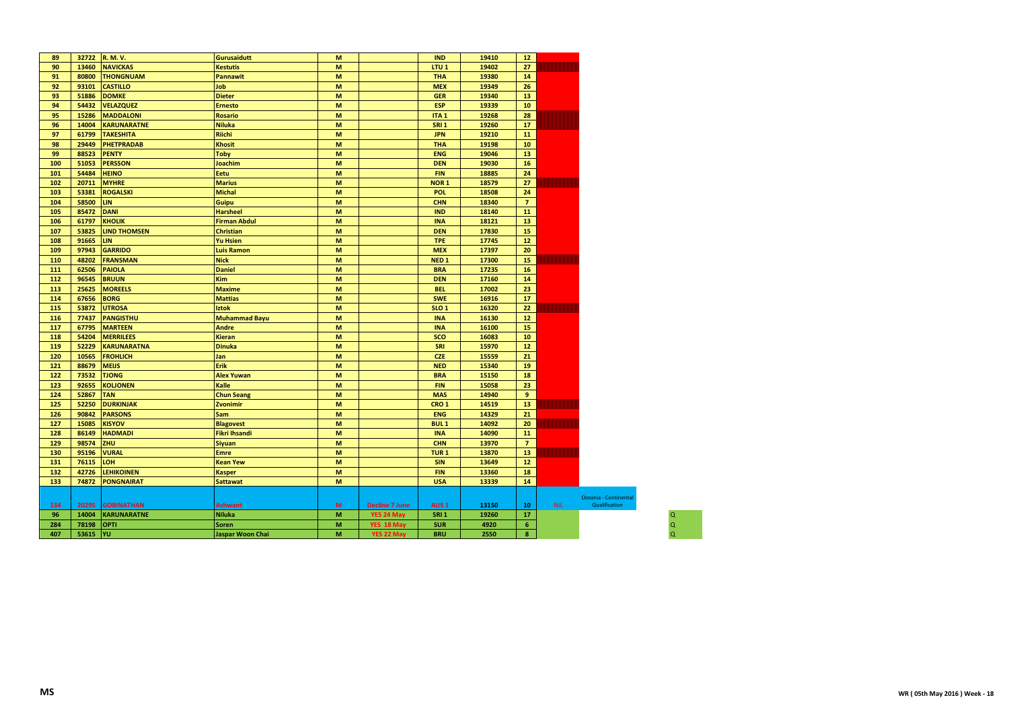| 89  |          | 32722 R.M.V.        | <b>Gurusaidutt</b>   | M |                       | <b>IND</b>       | 19410 | 12             |      |                       |
|-----|----------|---------------------|----------------------|---|-----------------------|------------------|-------|----------------|------|-----------------------|
| 90  | 13460    | <b>NAVICKAS</b>     | <b>Kestutis</b>      | M |                       | LTU <sub>1</sub> | 19402 | 27             |      |                       |
| 91  | 80800    | <b>THONGNUAM</b>    | <b>Pannawit</b>      | M |                       | <b>THA</b>       | 19380 | 14             |      |                       |
| 92  | 93101    | <b>CASTILLO</b>     | Job                  | M |                       | <b>MEX</b>       | 19349 | 26             |      |                       |
| 93  | 51886    | <b>DOMKE</b>        | <b>Dieter</b>        | M |                       | <b>GER</b>       | 19340 | 13             |      |                       |
| 94  | 54432    | <b>VELAZQUEZ</b>    | <b>Ernesto</b>       | M |                       | <b>ESP</b>       | 19339 | 10             |      |                       |
| 95  | 15286    | <b>MADDALONI</b>    | <b>Rosario</b>       | M |                       | ITA <sub>1</sub> | 19268 | 28             |      |                       |
| 96  | 14004    | <b>KARUNARATNE</b>  | <b>Niluka</b>        | M |                       | <b>SRI 1</b>     | 19260 | 17             |      |                       |
| 97  | 61799    | <b>TAKESHITA</b>    | <b>Riichi</b>        | M |                       | <b>JPN</b>       | 19210 | 11             |      |                       |
| 98  | 29449    | <b>PHETPRADAB</b>   | <b>Khosit</b>        | M |                       | <b>THA</b>       | 19198 | 10             |      |                       |
| 99  | 88523    | <b>PENTY</b>        | <b>Toby</b>          | M |                       | <b>ENG</b>       | 19046 | 13             |      |                       |
| 100 | 51053    | <b>PERSSON</b>      | <b>Joachim</b>       | M |                       | <b>DEN</b>       | 19030 | 16             |      |                       |
| 101 | 54484    | <b>HEINO</b>        | Eetu                 | M |                       | <b>FIN</b>       | 18885 | 24             |      |                       |
| 102 | 20711    | <b>MYHRE</b>        | <b>Marius</b>        | M |                       | NOR <sub>1</sub> | 18579 | 27             |      |                       |
| 103 | 53381    | <b>ROGALSKI</b>     | <b>Michal</b>        | M |                       | POL.             | 18508 | 24             |      |                       |
| 104 | 58500    | <b>LIN</b>          | Guipu                | M |                       | <b>CHN</b>       | 18340 | $\overline{7}$ |      |                       |
| 105 | 85472    | <b>DANI</b>         | <b>Harsheel</b>      | M |                       | <b>IND</b>       | 18140 | 11             |      |                       |
| 106 | 61797    | <b>KHOLIK</b>       | <b>Firman Abdul</b>  | M |                       | <b>INA</b>       | 18121 | 13             |      |                       |
| 107 | 53825    | <b>LIND THOMSEN</b> | <b>Christian</b>     | M |                       | <b>DEN</b>       | 17830 | 15             |      |                       |
| 108 | 91665    | <b>LIN</b>          | <b>Yu Hsien</b>      | M |                       | <b>TPE</b>       | 17745 | 12             |      |                       |
| 109 | 97943    | <b>GARRIDO</b>      | <b>Luis Ramon</b>    | M |                       | <b>MEX</b>       | 17397 | 20             |      |                       |
| 110 | 48202    | <b>FRANSMAN</b>     | <b>Nick</b>          | M |                       | NED <sub>1</sub> | 17300 | 15             |      |                       |
| 111 | 62506    | <b>PAIOLA</b>       | <b>Daniel</b>        | M |                       | <b>BRA</b>       | 17235 | 16             |      |                       |
| 112 | 96545    | <b>BRUUN</b>        | <b>Kim</b>           | M |                       | <b>DEN</b>       | 17160 | 14             |      |                       |
| 113 | 25625    | <b>MOREELS</b>      | <b>Maxime</b>        | M |                       | <b>BEL</b>       | 17002 | 23             |      |                       |
| 114 | 67656    | <b>BORG</b>         | <b>Mattias</b>       | M |                       | <b>SWE</b>       | 16916 | 17             |      |                       |
| 115 | 53872    | <b>UTROSA</b>       | <b>Iztok</b>         | M |                       | SLO <sub>1</sub> | 16320 | 22             |      |                       |
| 116 | 77437    | <b>PANGISTHU</b>    | <b>Muhammad Bayu</b> | M |                       | <b>INA</b>       | 16130 | $12$           |      |                       |
| 117 | 67795    | <b>MARTEEN</b>      | <b>Andre</b>         | M |                       | <b>INA</b>       | 16100 | 15             |      |                       |
| 118 | 54204    | <b>MERRILEES</b>    | <b>Kieran</b>        | M |                       | sco              | 16083 | 10             |      |                       |
| 119 | 52229    | <b>KARUNARATNA</b>  | <b>Dinuka</b>        | M |                       | SRI              | 15970 | $12$           |      |                       |
| 120 | 10565    | <b>FROHLICH</b>     | Jan                  | M |                       | <b>CZE</b>       | 15559 | 21             |      |                       |
| 121 | 88679    | <b>MEIJS</b>        | Erik                 | M |                       | <b>NED</b>       | 15340 | 19             |      |                       |
| 122 | 73532    | <b>TJONG</b>        | <b>Alex Yuwan</b>    | M |                       | <b>BRA</b>       | 15150 | 18             |      |                       |
| 123 | 92655    | <b>KOLJONEN</b>     | Kalle                | M |                       | <b>FIN</b>       | 15058 | 23             |      |                       |
| 124 | 52867    | <b>TAN</b>          | <b>Chun Seang</b>    | M |                       | <b>MAS</b>       | 14940 | 9              |      |                       |
| 125 | 52250    | <b>DURKINJAK</b>    | Zvonimir             | M |                       | CRO <sub>1</sub> | 14519 | 13             |      |                       |
| 126 | 90842    | <b>PARSONS</b>      | <b>Sam</b>           | M |                       | <b>ENG</b>       | 14329 | 21             |      |                       |
| 127 | 15085    | <b>KISYOV</b>       | <b>Blagovest</b>     | M |                       | <b>BUL1</b>      | 14092 | 20             |      |                       |
| 128 | 86149    | <b>HADMADI</b>      | <b>Fikri Ihsandi</b> | M |                       | <b>INA</b>       | 14090 | 11             |      |                       |
| 129 | 98574    | ZHU                 | <b>Siyuan</b>        | M |                       | <b>CHN</b>       | 13970 | $\overline{7}$ |      |                       |
| 130 | 95196    | <b>VURAL</b>        | <b>Emre</b>          | M |                       | TUR <sub>1</sub> | 13870 | 13             |      |                       |
| 131 | 76115    | <b>LOH</b>          | <b>Kean Yew</b>      | M |                       | <b>SIN</b>       | 13649 | 12             |      |                       |
| 132 | 42726    | <b>LEHIKOINEN</b>   | <b>Kasper</b>        | M |                       | <b>FIN</b>       | 13360 | 18             |      |                       |
| 133 | 74872    | <b>PONGNAIRAT</b>   | <b>Sattawat</b>      | M |                       | <b>USA</b>       | 13339 | 14             |      |                       |
|     |          |                     |                      |   |                       |                  |       |                |      |                       |
|     |          |                     |                      |   |                       |                  |       |                |      | Oceania - Continental |
| 134 | 20295    | <b>GOBINATHAN</b>   | <b>Ashwant</b>       | M | <b>Decline 7 June</b> | AUS <sub>1</sub> | 13150 | 10             | NIL. | Qualification         |
| 96  | 14004    | <b>KARUNARATNE</b>  | <b>Niluka</b>        | M | YES 24 May            | <b>SRI 1</b>     | 19260 | 17             |      |                       |
| 284 | 78198    | <b>OPTI</b>         | <b>Soren</b>         | M | YES 18 May            | <b>SUR</b>       | 4920  | 6              |      |                       |
| 407 | 53615 YU |                     | Jaspar Woon Chai     | M | YES 22 May            | <b>BRU</b>       | 2550  | 8              |      |                       |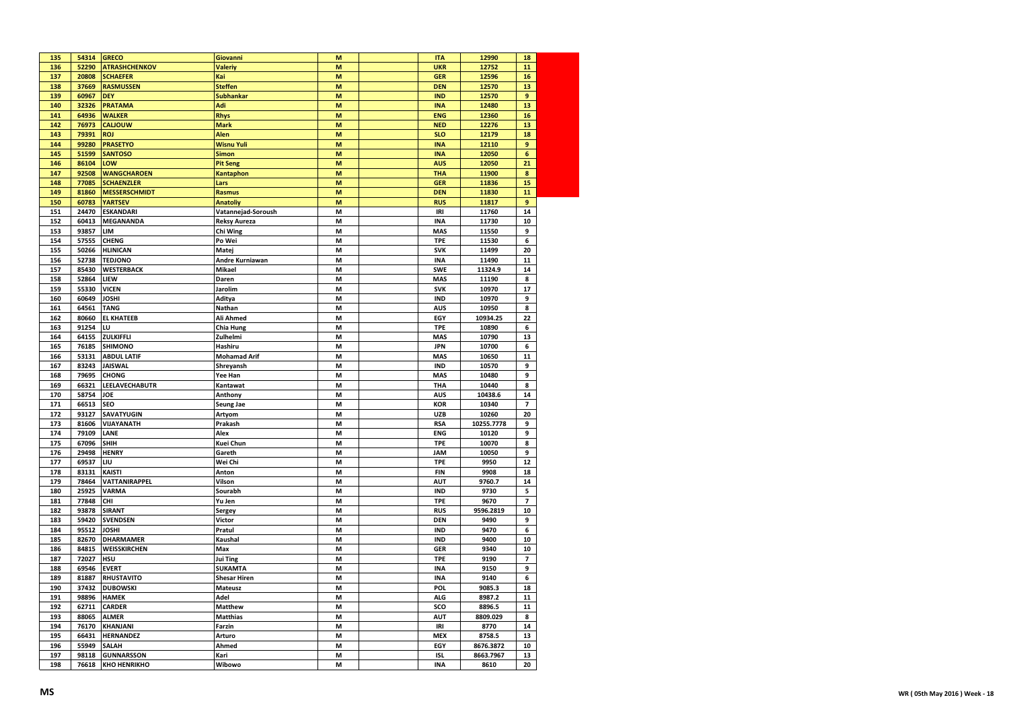| 135        | 54314 | <b>GRECO</b>         | Giovanni            | M | <b>ITA</b>               | 12990      | 18             |  |
|------------|-------|----------------------|---------------------|---|--------------------------|------------|----------------|--|
| 136        | 52290 | <b>ATRASHCHENKOV</b> | <b>Valeriy</b>      | M | <b>UKR</b>               | 12752      | 11             |  |
| 137        | 20808 | <b>SCHAEFER</b>      | Kai                 | M | <b>GER</b>               | 12596      | 16             |  |
| 138        | 37669 | <b>RASMUSSEN</b>     | <b>Steffen</b>      | M | <b>DEN</b>               | 12570      | 13             |  |
| 139        | 60967 | <b>DEY</b>           | <b>Subhankar</b>    | M | <b>IND</b>               | 12570      | 9              |  |
| 140        | 32326 | <b>PRATAMA</b>       | Adi                 | M | <b>INA</b>               | 12480      | 13             |  |
| 141        | 64936 | <b>WALKER</b>        | <b>Rhys</b>         | M | <b>ENG</b>               | 12360      | 16             |  |
| 142        | 76973 | <b>CALIOUW</b>       | <b>Mark</b>         | M | <b>NED</b>               | 12276      | 13             |  |
| 143        | 79391 | <b>ROJ</b>           | Alen                | M | <b>SLO</b>               | 12179      | 18             |  |
| 144        | 99280 | <b>PRASETYO</b>      | <b>Wisnu Yuli</b>   | M | <b>INA</b>               | 12110      | 9              |  |
| 145        | 51599 | <b>SANTOSO</b>       | Simon               | M | <b>INA</b>               | 12050      | 6              |  |
| 146        | 86104 | LOW                  | <b>Pit Seng</b>     | M | <b>AUS</b>               | 12050      | 21             |  |
| 147        | 92508 | <b>WANGCHAROEN</b>   | Kantaphon           | M | <b>THA</b>               | 11900      | 8              |  |
| 148        | 77085 | <b>SCHAENZLER</b>    | Lars                | M | <b>GER</b>               | 11836      | 15             |  |
| 149        | 81860 | <b>MESSERSCHMIDT</b> | <b>Rasmus</b>       | M | <b>DEN</b>               | 11830      | 11             |  |
| 150        | 60783 | <b>YARTSEV</b>       | <b>Anatoliy</b>     | M | <b>RUS</b>               | 11817      | 9              |  |
| 151        | 24470 | ESKANDARI            | Vatannejad-Soroush  | M | IRI                      | 11760      | 14             |  |
| 152        | 60413 | <b>MEGANANDA</b>     | <b>Reksy Aureza</b> | M | <b>INA</b>               | 11730      | 10             |  |
| 153        | 93857 | LIM                  | Chi Wing            | M | <b>MAS</b>               | 11550      | 9              |  |
| 154        | 57555 | <b>CHENG</b>         | Po Wei              | M | <b>TPE</b>               | 11530      | 6              |  |
| 155        | 50266 | <b>HLINICAN</b>      | Matej               | M | <b>SVK</b>               | 11499      | 20             |  |
| 156        | 52738 | <b>TEDJONO</b>       | Andre Kurniawan     | M | <b>INA</b>               | 11490      | 11             |  |
| 157        | 85430 | <b>WESTERBACK</b>    | Mikael              | M | <b>SWE</b>               | 11324.9    | 14             |  |
|            | 52864 | LIEW                 | Daren               |   |                          |            | 8              |  |
| 158<br>159 | 55330 | <b>VICEN</b>         | Jarolim             | M | <b>MAS</b><br><b>SVK</b> | 11190      | 17             |  |
|            |       |                      |                     | M |                          | 10970      |                |  |
| 160        | 60649 | <b>JOSHI</b>         | Aditya              | M | <b>IND</b>               | 10970      | 9              |  |
| 161        | 64561 | <b>TANG</b>          | Nathan              | M | <b>AUS</b>               | 10950      | 8              |  |
| 162        | 80660 | <b>EL KHATEEB</b>    | Ali Ahmed           | M | EGY                      | 10934.25   | 22             |  |
| 163        | 91254 | LU                   | <b>Chia Hung</b>    | M | <b>TPE</b>               | 10890      | 6              |  |
| 164        | 64155 | ZULKIFFLI            | Zulhelmi            | M | MAS                      | 10790      | 13             |  |
| 165        | 76185 | <b>SHIMONO</b>       | Hashiru             | M | <b>JPN</b>               | 10700      | 6              |  |
| 166        | 53131 | <b>ABDUL LATIF</b>   | <b>Mohamad Arif</b> | M | <b>MAS</b>               | 10650      | 11             |  |
| 167        | 83243 | <b>JAISWAL</b>       | Shreyansh           | M | <b>IND</b>               | 10570      | 9              |  |
|            |       |                      |                     |   |                          |            |                |  |
| 168        | 79695 | <b>CHONG</b>         | Yee Han             | M | <b>MAS</b>               | 10480      | 9              |  |
| 169        | 66321 | LEELAVECHABUTR       | Kantawat            | M | THA                      | 10440      | 8              |  |
| 170        | 58754 | JOE                  | Anthony             | M | <b>AUS</b>               | 10438.6    | 14             |  |
| 171        | 66513 | <b>SEO</b>           | <b>Seung Jae</b>    | M | <b>KOR</b>               | 10340      | $\overline{7}$ |  |
| 172        | 93127 | SAVATYUGIN           | Artyom              | M | <b>UZB</b>               | 10260      | 20             |  |
| 173        | 81606 | VIJAYANATH           | Prakash             | M | <b>RSA</b>               | 10255.7778 | 9              |  |
| 174        | 79109 | LANE                 | Alex                | M | <b>ENG</b>               | 10120      | 9              |  |
| 175        | 67096 | SHIH                 | Kuei Chun           | M | <b>TPE</b>               | 10070      | 8              |  |
| 176        | 29498 | <b>HENRY</b>         | Gareth              | M | JAM                      | 10050      | q              |  |
| 177        | 69537 | LIU                  | Wei Chi             | M | <b>TPE</b>               | 9950       | 12             |  |
| 178        | 83131 | <b>KAISTI</b>        | Anton               | M | <b>FIN</b>               | 9908       | 18             |  |
| 179        | 78464 | <b>VATTANIRAPPEL</b> | Vilson              | M | <b>AUT</b>               | 9760.7     | 14             |  |
| 180        | 25925 | <b>VARMA</b>         | Sourabh             | M | <b>IND</b>               | 9730       | 5              |  |
| 181        | 77848 | CHI                  | Yu Jen              | M | <b>TPE</b>               | 9670       | 7              |  |
| 182        | 93878 | <b>SIRANT</b>        | Sergey              | M | <b>RUS</b>               | 9596.2819  | 10             |  |
| 183        | 59420 | <b>SVENDSEN</b>      | Victor              | M | <b>DEN</b>               | 9490       | 9              |  |
| 184        | 95512 | <b>JOSHI</b>         | Pratul              | M | <b>IND</b>               | 9470       | 6              |  |
| 185        | 82670 | <b>DHARMAMER</b>     | Kaushal             | M | <b>IND</b>               | 9400       | 10             |  |
| 186        | 84815 | WEISSKIRCHEN         | Max                 | M | GER                      | 9340       | ${\bf 10}$     |  |
| 187        | 72027 | <b>HSU</b>           | Jui Ting            | M | <b>TPE</b>               | 9190       | 7              |  |
| 188        | 69546 | <b>EVERT</b>         | <b>SUKAMTA</b>      | M | <b>INA</b>               | 9150       | 9              |  |
| 189        | 81887 | <b>RHUSTAVITO</b>    | <b>Shesar Hiren</b> | M | <b>INA</b>               | 9140       | 6              |  |
| 190        | 37432 | <b>DUBOWSKI</b>      | <b>Mateusz</b>      | M | <b>POL</b>               | 9085.3     | 18             |  |
| 191        | 98896 | <b>HAMEK</b>         | Adel                | M | <b>ALG</b>               | 8987.2     | 11             |  |
| 192        | 62711 | <b>CARDER</b>        | <b>Matthew</b>      | M | sco                      | 8896.5     | 11             |  |
| 193        | 88065 | <b>ALMER</b>         | <b>Matthias</b>     | M | <b>AUT</b>               | 8809.029   | 8              |  |
| 194        | 76170 | <b>KHANJANI</b>      | Farzin              | M | IRI                      | 8770       | 14             |  |
| 195        | 66431 | <b>HERNANDEZ</b>     | Arturo              | M | <b>MEX</b>               | 8758.5     | 13             |  |
| 196        | 55949 | <b>SALAH</b>         | Ahmed               | M | EGY                      | 8676.3872  | 10             |  |
| 197        | 98118 | <b>GUNNARSSON</b>    | Kari                | M | <b>ISL</b>               | 8663.7967  | 13             |  |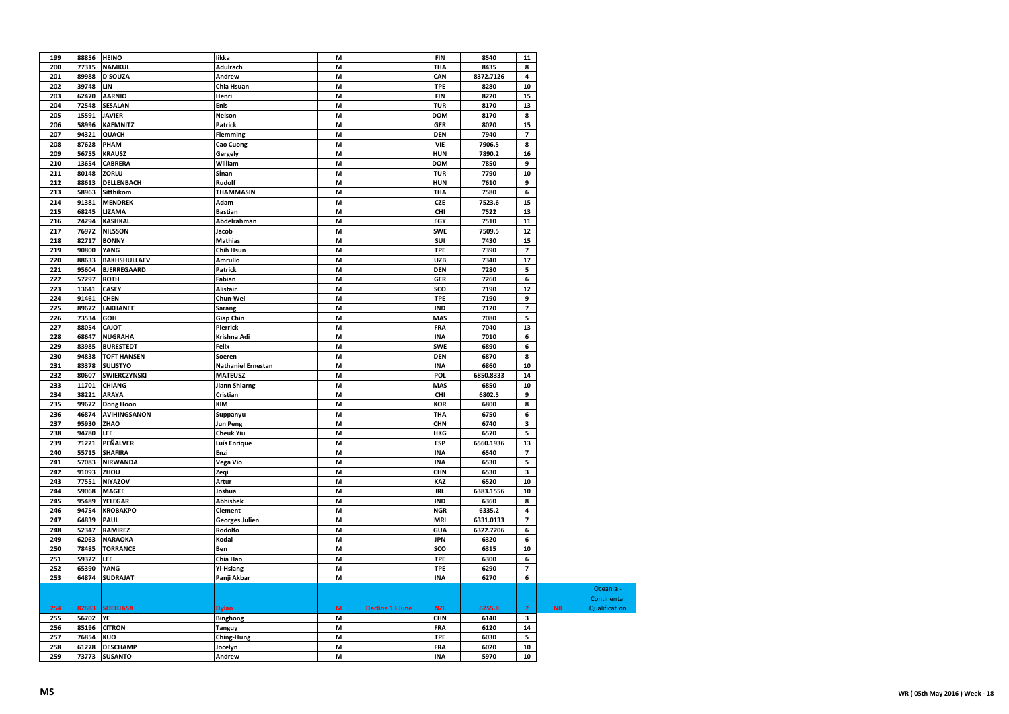| 199 | 88856 HEINO |                    | likka                     | M |                        | FIN        | 8540      | 11                      |            |               |
|-----|-------------|--------------------|---------------------------|---|------------------------|------------|-----------|-------------------------|------------|---------------|
| 200 | 77315       | <b>NAMKUL</b>      | Adulrach                  | M |                        | THA        | 8435      | 8                       |            |               |
| 201 | 89988       | D'SOUZA            | Andrew                    | M |                        | CAN        | 8372.7126 | $\overline{4}$          |            |               |
| 202 | 39748       | LIN                | Chia Hsuan                | M |                        | <b>TPE</b> | 8280      | 10                      |            |               |
| 203 | 62470       | <b>AARNIO</b>      | Henri                     | M |                        | <b>FIN</b> | 8220      | 15                      |            |               |
| 204 | 72548       | <b>SESALAN</b>     | Enis                      | M |                        | <b>TUR</b> | 8170      | 13                      |            |               |
| 205 | 15591       | <b>JAVIER</b>      | Nelson                    | M |                        | <b>DOM</b> | 8170      | 8                       |            |               |
| 206 | 58996       | <b>KAEMNITZ</b>    | Patrick                   | M |                        | <b>GER</b> | 8020      | 15                      |            |               |
| 207 | 94321       | <b>QUACH</b>       | Flemming                  | M |                        | <b>DEN</b> | 7940      | 7                       |            |               |
| 208 | 87628       | PHAM               | Cao Cuong                 | M |                        | VIE        | 7906.5    | 8                       |            |               |
| 209 | 56755       | <b>KRAUSZ</b>      |                           | M |                        | HUN        | 7890.2    | 16                      |            |               |
|     |             |                    | Gergely                   |   |                        |            |           |                         |            |               |
| 210 | 13654       | CABRERA            | William                   | M |                        | DOM        | 7850      | 9                       |            |               |
| 211 | 80148       | ZORLU              | Sinan                     | M |                        | <b>TUR</b> | 7790      | ${\bf 10}$              |            |               |
| 212 | 88613       | DELLENBACH         | Rudolf                    | M |                        | <b>HUN</b> | 7610      | 9                       |            |               |
| 213 | 58963       | Sitthikom          | <b>THAMMASIN</b>          | M |                        | THA        | 7580      | 6                       |            |               |
| 214 | 91381       | <b>MENDREK</b>     | Adam                      | M |                        | <b>CZE</b> | 7523.6    | 15                      |            |               |
| 215 | 68245       | LIZAMA             | <b>Bastian</b>            | M |                        | CHI        | 7522      | 13                      |            |               |
| 216 | 24294       | <b>KASHKAL</b>     | Abdelrahman               | M |                        | EGY        | 7510      | ${\bf 11}$              |            |               |
| 217 | 76972       | <b>NILSSON</b>     | Jacob                     | M |                        | SWE        | 7509.5    | 12                      |            |               |
| 218 | 82717       | <b>BONNY</b>       | <b>Mathias</b>            | M |                        | SUI        | 7430      | 15                      |            |               |
| 219 | 90800       | YANG               | Chih Hsun                 | M |                        | <b>TPE</b> | 7390      | $\overline{\mathbf{z}}$ |            |               |
| 220 | 88633       | BAKHSHULLAEV       | Amrullo                   | M |                        | <b>UZB</b> | 7340      | 17                      |            |               |
| 221 | 95604       | <b>BJERREGAARD</b> | <b>Patrick</b>            | M |                        | <b>DEN</b> | 7280      | 5                       |            |               |
| 222 | 57297       | <b>ROTH</b>        | Fabian                    | M |                        | <b>GER</b> | 7260      | 6                       |            |               |
| 223 | 13641       | CASEY              | Alistair                  | M |                        | sco        | 7190      | 12                      |            |               |
| 224 | 91461       | <b>CHEN</b>        | Chun-Wei                  | M |                        | <b>TPE</b> | 7190      | 9                       |            |               |
| 225 | 89672       | <b>LAKHANEE</b>    | Sarang                    | M |                        | <b>IND</b> | 7120      | 7                       |            |               |
| 226 | 73534       | GOH                | <b>Giap Chin</b>          | M |                        | MAS        | 7080      | 5                       |            |               |
| 227 | 88054       | <b>CAJOT</b>       | Pierrick                  | M |                        | FRA        | 7040      | 13                      |            |               |
| 228 | 68647       | <b>NUGRAHA</b>     | Krishna Adi               | M |                        | <b>INA</b> | 7010      | 6                       |            |               |
| 229 | 83985       | <b>BURESTEDT</b>   | Felix                     | M |                        | SWE        | 6890      | 6                       |            |               |
| 230 | 94838       | <b>TOFT HANSEN</b> | Soeren                    | M |                        | <b>DEN</b> | 6870      | 8                       |            |               |
|     |             |                    |                           |   |                        |            |           |                         |            |               |
| 231 | 83378       | <b>SULISTYO</b>    | <b>Nathaniel Ernestan</b> | M |                        | <b>INA</b> | 6860      | 10                      |            |               |
| 232 | 80607       | SWIERCZYNSKI       | <b>MATEUSZ</b>            | M |                        | <b>POL</b> | 6850.8333 | 14                      |            |               |
| 233 | 11701       | CHIANG             | <b>Jiann Shiarng</b>      | M |                        | MAS        | 6850      | 10                      |            |               |
| 234 | 38221       | <b>ARAYA</b>       | Cristian                  | M |                        | CHI        | 6802.5    | 9                       |            |               |
| 235 | 99672       | Dong Hoon          | <b>KIM</b>                | M |                        | <b>KOR</b> | 6800      | 8                       |            |               |
| 236 | 46874       | AVIHINGSANON       | Suppanyu                  | M |                        | THA        | 6750      | 6                       |            |               |
| 237 | 95930       | ZHAO               | <b>Jun Peng</b>           | M |                        | CHN        | 6740      | 3                       |            |               |
| 238 | 94780       | LEE                | <b>Cheuk Yiu</b>          | M |                        | HKG        | 6570      | 5                       |            |               |
| 239 | 71221       | PEÑALVER           | Luís Enrique              | M |                        | <b>ESP</b> | 6560.1936 | 13                      |            |               |
| 240 | 55715       | <b>SHAFIRA</b>     | Enzi                      | M |                        | <b>INA</b> | 6540      | $\overline{\mathbf{z}}$ |            |               |
| 241 | 57083       | <b>NIRWANDA</b>    | Vega Vio                  | M |                        | <b>INA</b> | 6530      | 5                       |            |               |
| 242 | 91093       | ZHOU               | Zeqi                      | M |                        | CHN        | 6530      | 3                       |            |               |
| 243 | 77551       | NIYAZOV            | Artur                     | M |                        | <b>KAZ</b> | 6520      | ${\bf 10}$              |            |               |
| 244 | 59068       | <b>MAGEE</b>       | Joshua                    | M |                        | <b>IRL</b> | 6383.1556 | 10                      |            |               |
| 245 | 95489       | YELEGAR            | <b>Abhishek</b>           | M |                        | <b>IND</b> | 6360      | 8                       |            |               |
| 246 | 94754       | <b>KROBAKPO</b>    | Clement                   | M |                        | <b>NGR</b> | 6335.2    | $\overline{4}$          |            |               |
| 247 | 64839       | PAUL               | <b>Georges Julien</b>     | M |                        | <b>MRI</b> | 6331.0133 | 7                       |            |               |
| 248 | 52347       | <b>RAMIREZ</b>     | Rodolfo                   | M |                        | <b>GUA</b> | 6322.7206 | 6                       |            |               |
| 249 | 62063       | <b>NARAOKA</b>     | Kodai                     | M |                        | <b>JPN</b> | 6320      | 6                       |            |               |
| 250 | 78485       | <b>TORRANCE</b>    | Ben                       | M |                        | sco        | 6315      | 10                      |            |               |
| 251 | 59322       | LEE                | Chia Hao                  | M |                        | <b>TPE</b> | 6300      | 6                       |            |               |
| 252 | 65390       | YANG               | <b>Yi-Hsiang</b>          | M |                        | <b>TPE</b> | 6290      | $\overline{\mathbf{z}}$ |            |               |
|     | 64874       | <b>SUDRAJAT</b>    |                           | M |                        | <b>INA</b> |           |                         |            |               |
| 253 |             |                    | Panji Akbar               |   |                        |            | 6270      | 6                       |            |               |
|     |             |                    |                           |   |                        |            |           |                         |            | Oceania -     |
|     |             |                    |                           |   |                        |            |           |                         |            | Continental   |
| 254 | 82683       | <b>SOEDJASA</b>    | <b>Dylan</b>              | M | <b>Decline 13 June</b> | <b>NZL</b> | 6255.8    | $\overline{7}$          | <b>NIL</b> | Qualification |
| 255 | 56702       | YE                 | <b>Binghong</b>           | M |                        | CHN        | 6140      | $\overline{\mathbf{3}}$ |            |               |
| 256 | 85196       | <b>CITRON</b>      | Tanguy                    | M |                        | FRA        | 6120      | 14                      |            |               |
| 257 | 76854       | <b>KUO</b>         | Ching-Hung                | M |                        | <b>TPE</b> | 6030      | 5                       |            |               |
| 258 | 61278       | <b>DESCHAMP</b>    | Jocelyn                   | M |                        | FRA        | 6020      | ${\bf 10}$              |            |               |
| 259 |             | 73773 SUSANTO      | Andrew                    | M |                        | <b>INA</b> | 5970      | 10                      |            |               |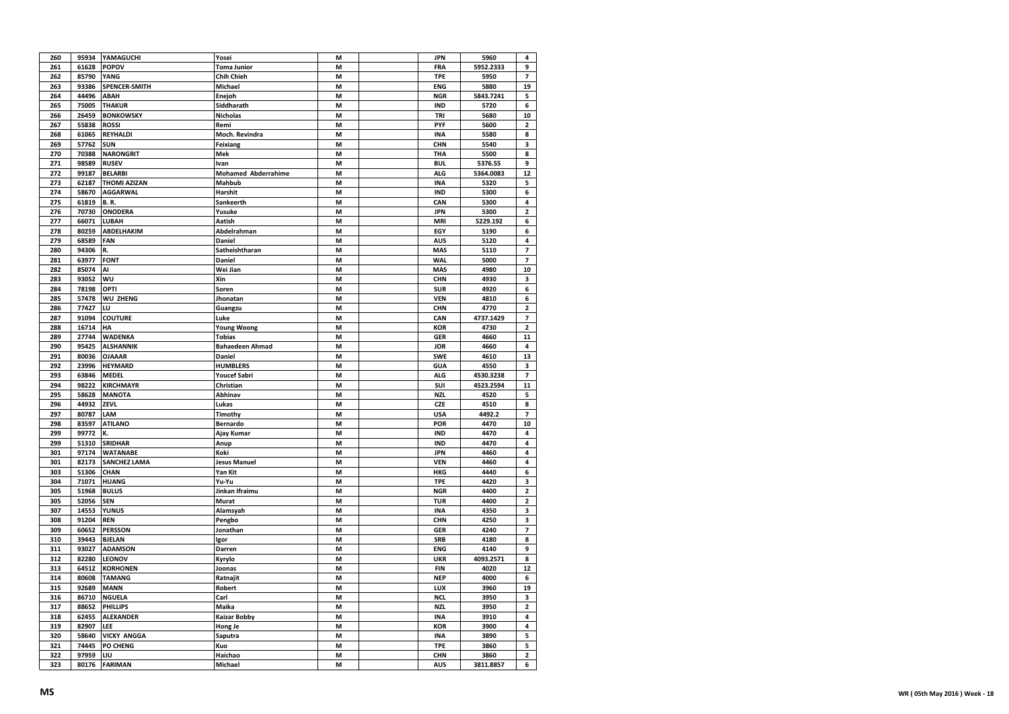| 260 | 95934 | YAMAGUCHI            | Yosei                      | M | JPN        | 5960      | 4              |
|-----|-------|----------------------|----------------------------|---|------------|-----------|----------------|
| 261 | 61628 | <b>POPOV</b>         | <b>Toma Junior</b>         | M | FRA        | 5952.2333 | 9              |
| 262 | 85790 | YANG                 | Chih Chieh                 | M | <b>TPE</b> | 5950      | $\overline{7}$ |
| 263 | 93386 | <b>SPENCER-SMITH</b> | Michael                    | M | <b>ENG</b> | 5880      | 19             |
| 264 | 44496 | ABAH                 | Enejoh                     | M | <b>NGR</b> | 5843.7241 | 5              |
| 265 | 75005 | <b>THAKUR</b>        | Siddharath                 | M | <b>IND</b> | 5720      | 6              |
| 266 | 26459 | <b>BONKOWSKY</b>     | <b>Nicholas</b>            | M | TRI        | 5680      | 10             |
| 267 | 55838 | <b>ROSSI</b>         | Remi                       | M | PYF        | 5600      | 2              |
| 268 | 61065 | <b>REYHALDI</b>      | Moch. Revindra             | M | <b>INA</b> | 5580      | 8              |
| 269 | 57762 | <b>SUN</b>           | Feixiang                   | M | CHN        | 5540      | 3              |
| 270 | 70388 | <b>NARONGRIT</b>     | Mek                        | M | THA        | 5500      | 8              |
| 271 | 98589 | <b>RUSEV</b>         | Ivan                       | M | <b>BUL</b> | 5376.55   | 9              |
| 272 | 99187 | <b>BELARBI</b>       | <b>Mohamed Abderrahime</b> | M | <b>ALG</b> | 5364.0083 | 12             |
| 273 | 62187 | <b>THOMI AZIZAN</b>  | Mahbub                     | M | <b>INA</b> | 5320      | 5              |
| 274 | 58670 | <b>AGGARWAL</b>      | Harshit                    | M | <b>IND</b> | 5300      | 6              |
| 275 | 61819 | <b>B.R.</b>          | Sankeerth                  | M | CAN        | 5300      | 4              |
| 276 | 70730 | <b>ONODERA</b>       | Yusuke                     | М | <b>JPN</b> | 5300      | 2              |
| 277 | 66071 | LUBAH                | Aatish                     | M | <b>MRI</b> | 5229.192  | 6              |
| 278 | 80259 | ABDELHAKIM           | Abdelrahman                | M | EGY        | 5190      | 6              |
| 279 | 68589 | FAN                  | Daniel                     | M | <b>AUS</b> | 5120      | 4              |
| 280 | 94306 | R.                   | Satheishtharan             | M | MAS        | 5110      | 7              |
| 281 | 63977 | <b>FONT</b>          | Daniel                     | M | <b>WAL</b> | 5000      | $\overline{7}$ |
| 282 | 85074 | Al                   | Wei Jian                   | M | <b>MAS</b> | 4980      | 10             |
| 283 | 93052 | WU                   | Xin                        | M | CHN        | 4930      | 3              |
| 284 | 78198 | OPTI                 | Soren                      | M | <b>SUR</b> | 4920      | 6              |
| 285 | 57478 | WU ZHENG             | Jhonatan                   | M | <b>VEN</b> | 4810      | 6              |
| 286 | 77427 | LU                   | Guangzu                    | M | CHN        | 4770      | 2              |
| 287 | 91094 | <b>COUTURE</b>       | Luke                       | M | CAN        | 4737.1429 | $\overline{z}$ |
| 288 | 16714 | НA                   | <b>Young Woong</b>         | M | <b>KOR</b> | 4730      | 2              |
| 289 | 27744 | WADENKA              | <b>Tobias</b>              | M | <b>GER</b> | 4660      | 11             |
| 290 | 95425 | <b>ALSHANNIK</b>     | <b>Bahaedeen Ahmad</b>     | M | <b>JOR</b> | 4660      | 4              |
| 291 | 80036 | <b>OJAAAR</b>        | Daniel                     | M | SWE        | 4610      | 13             |
| 292 | 23996 | <b>HEYMARD</b>       | <b>HUMBLERS</b>            | M | <b>GUA</b> | 4550      | 3              |
| 293 | 63846 | <b>MEDEL</b>         | <b>Youcef Sabri</b>        | M | <b>ALG</b> | 4530.3238 | 7              |
| 294 | 98222 | <b>KIRCHMAYR</b>     | Christian                  | M | <b>SUI</b> | 4523.2594 | 11             |
| 295 | 58628 | <b>MANOTA</b>        | Abhinav                    | M | <b>NZL</b> | 4520      | 5              |
| 296 | 44932 | ZEVL                 | Lukas                      | M | <b>CZE</b> | 4510      | 8              |
| 297 | 80787 | LAM                  | Timothy                    | M | <b>USA</b> | 4492.2    | 7              |
| 298 | 83597 | <b>ATILANO</b>       | Bernardo                   | M | POR        | 4470      | 10             |
| 299 | 99772 | K.                   | Ajay Kumar                 | M | <b>IND</b> | 4470      | 4              |
| 299 | 51310 | <b>SRIDHAR</b>       | Anup                       | M | <b>IND</b> | 4470      | 4              |
| 301 | 97174 | <b>WATANABE</b>      | Koki                       | M | <b>JPN</b> | 4460      | 4              |
| 301 | 82173 | <b>SANCHEZ LAMA</b>  | <b>Jesus Manuel</b>        | M | <b>VEN</b> | 4460      | 4              |
| 303 | 51306 | <b>CHAN</b>          | Yan Kit                    | M | <b>HKG</b> | 4440      | 6              |
| 304 | 71071 | <b>HUANG</b>         | Yu-Yu                      | M | <b>TPE</b> | 4420      | 3              |
| 305 | 51968 | <b>BULUS</b>         | Jinkan Ifraimu             | M | <b>NGR</b> | 4400      | 2              |
| 305 | 52056 | <b>SEN</b>           | Murat                      | M | <b>TUR</b> | 4400      | 2              |
| 307 | 14553 | YUNUS                | Alamsyah                   | M | <b>INA</b> | 4350      | 3              |
| 308 | 91204 | <b>REN</b>           | Pengbo                     | M | CHN        | 4250      | 3              |
| 309 | 60652 | PERSSON              | Jonathan                   | M | <b>GER</b> | 4240      | $\overline{7}$ |
| 310 | 39443 | <b>BJELAN</b>        | Igor                       | M | SRB        | 4180      | 8              |
| 311 | 93027 | ADAMSON              | Darren                     | M | <b>ENG</b> | 4140      | 9              |
| 312 | 82280 | LEONOV               | Kyrylo                     | M | <b>UKR</b> | 4093.2571 | 8              |
| 313 | 64512 | <b>KORHONEN</b>      | Joonas                     | M | <b>FIN</b> | 4020      | 12             |
| 314 | 80608 | <b>TAMANG</b>        | Ratnajit                   | M | <b>NEP</b> | 4000      | 6              |
| 315 | 92689 | <b>MANN</b>          | Robert                     | M | LUX        | 3960      | 19             |
| 316 | 86710 | <b>NGUELA</b>        | Carl                       | M | <b>NCL</b> | 3950      | 3              |
| 317 | 88652 | PHILLIPS             | Maika                      | M | <b>NZL</b> | 3950      | 2              |
| 318 | 62455 | <b>ALEXANDER</b>     | <b>Kaizar Bobby</b>        | M | <b>INA</b> | 3910      | 4              |
| 319 | 82907 | LEE                  | Hong Je                    | M | <b>KOR</b> | 3900      | 4              |
| 320 | 58640 | <b>VICKY ANGGA</b>   | Saputra                    | M | <b>INA</b> | 3890      | 5              |
| 321 | 74445 | PO CHENG             | Kuo                        | M | <b>TPE</b> | 3860      | 5              |
| 322 | 97959 | LIU                  | Haichao                    | M | CHN        | 3860      | 2              |
| 323 | 80176 | <b>FARIMAN</b>       | Michael                    | M | <b>AUS</b> | 3811.8857 | 6              |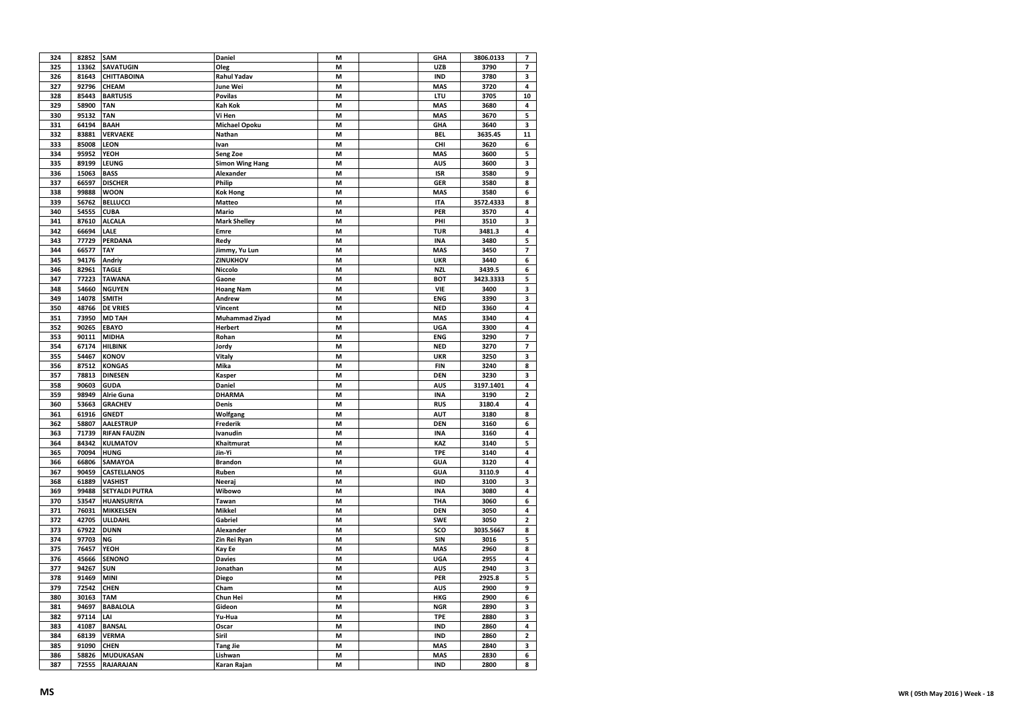| 324        | 82852          | <b>SAM</b>                    | <b>Daniel</b>          | M      | GHA                      | 3806.0133      | 7                       |
|------------|----------------|-------------------------------|------------------------|--------|--------------------------|----------------|-------------------------|
| 325        | 13362          | <b>SAVATUGIN</b>              | Oleg                   | M      | <b>UZB</b>               | 3790           | 7                       |
| 326        | 81643          | <b>CHITTABOINA</b>            | <b>Rahul Yadav</b>     | M      | <b>IND</b>               | 3780           | 3                       |
| 327        | 92796          | CHEAM                         | June Wei               | M      | <b>MAS</b>               | 3720           | 4                       |
| 328        | 85443          | <b>BARTUSIS</b>               | <b>Povilas</b>         | M      | LTU                      | 3705           | 10                      |
| 329        | 58900          | <b>TAN</b>                    | <b>Kah Kok</b>         | M      | <b>MAS</b>               | 3680           | 4                       |
| 330        | 95132          | <b>TAN</b>                    | Vi Hen                 | М      | <b>MAS</b>               | 3670           | 5                       |
| 331        | 64194          | <b>BAAH</b>                   | <b>Michael Opoku</b>   | M      | <b>GHA</b>               | 3640           | 3                       |
| 332        | 83881          | <b>VERVAEKE</b>               | Nathan                 | M      | <b>BEL</b>               | 3635.45        | 11                      |
| 333        | 85008          | <b>LEON</b>                   | Ivan                   | M      | CHI                      | 3620           | 6                       |
| 334        | 95952          | YEOH                          | Seng Zoe               | М      | <b>MAS</b>               | 3600           | 5                       |
| 335        | 89199          | LEUNG                         | <b>Simon Wing Hang</b> | М      | <b>AUS</b>               | 3600           | 3                       |
| 336        | 15063          | <b>BASS</b>                   | Alexander              | M      | <b>ISR</b>               | 3580           | 9                       |
| 337        | 66597          | <b>DISCHER</b>                | Philip                 | M      | <b>GER</b>               | 3580           | 8                       |
| 338        | 99888          | <b>WOON</b>                   |                        | M      | <b>MAS</b>               | 3580           | 6                       |
|            |                |                               | <b>Kok Hong</b>        |        |                          |                |                         |
| 339        | 56762          | <b>BELLUCCI</b>               | <b>Matteo</b>          | M      | <b>ITA</b>               | 3572.4333      | 8                       |
| 340        | 54555          | <b>CUBA</b>                   | Mario                  | М      | PER                      | 3570           | 4                       |
| 341        | 87610          | <b>ALCALA</b>                 | <b>Mark Shelley</b>    | M      | PHI                      | 3510           | 3                       |
| 342        | 66694          | LALE                          | Emre                   | М      | <b>TUR</b>               | 3481.3         | 4                       |
| 343        | 77729          | PERDANA                       | Redy                   | М      | <b>INA</b>               | 3480           | 5                       |
| 344        | 66577          | TAY                           | Jimmy, Yu Lun          | M      | <b>MAS</b>               | 3450           | 7                       |
| 345        | 94176          | Andriy                        | ZINUKHOV               | M      | <b>UKR</b>               | 3440           | 6                       |
| 346        | 82961          | <b>TAGLE</b>                  | Niccolo                | M      | <b>NZL</b>               | 3439.5         | 6                       |
| 347        | 77223          | <b>TAWANA</b>                 | Gaone                  | М      | <b>BOT</b>               | 3423.3333      | 5                       |
| 348        | 54660          | <b>NGUYEN</b>                 | <b>Hoang Nam</b>       | M      | VIE                      | 3400           | 3                       |
| 349        | 14078          | <b>SMITH</b>                  | Andrew                 | M      | <b>ENG</b>               | 3390           | 3                       |
| 350        | 48766          | <b>DE VRIES</b>               | Vincent                | M      | <b>NED</b>               | 3360           | 4                       |
| 351        | 73950          | <b>MD TAH</b>                 | <b>Muhammad Ziyad</b>  | М      | <b>MAS</b>               | 3340           | $\overline{\mathbf{4}}$ |
| 352        | 90265          | <b>EBAYO</b>                  | Herbert                | М      | UGA                      | 3300           | 4                       |
| 353        | 90111          | <b>MIDHA</b>                  | Rohan                  | М      | <b>ENG</b>               | 3290           | 7                       |
| 354        | 67174          | <b>HILBINK</b>                | Jordy                  | M      | <b>NED</b>               | 3270           | 7                       |
| 355        | 54467          | <b>KONOV</b>                  | Vitaly                 | М      | <b>UKR</b>               | 3250           | 3                       |
| 356        | 87512          | <b>KONGAS</b>                 | Mika                   | М      | <b>FIN</b>               | 3240           | 8                       |
| 357        | 78813          | <b>DINESEN</b>                | Kasper                 | M      | <b>DEN</b>               | 3230           | 3                       |
| 358        | 90603          | <b>GUDA</b>                   | Daniel                 | М      | <b>AUS</b>               | 3197.1401      | 4                       |
| 359        | 98949          | Alrie Guna                    | <b>DHARMA</b>          | М      | <b>INA</b>               | 3190           | 2                       |
| 360        | 53663          | <b>GRACHEV</b>                | Denis                  | M      | <b>RUS</b>               | 3180.4         | $\overline{\mathbf{4}}$ |
| 361        | 61916          | <b>GNEDT</b>                  | Wolfgang               | М      | <b>AUT</b>               | 3180           | 8                       |
| 362        | 58807          | <b>AALESTRUP</b>              | Frederik               | M      | <b>DEN</b>               | 3160           | 6                       |
| 363        | 71739          | <b>RIFAN FAUZIN</b>           | Ivanudin               | M      | <b>INA</b>               | 3160           | 4                       |
| 364        | 84342          | <b>KULMATOV</b>               | Khaitmurat             | М      | KAZ                      | 3140           | 5                       |
| 365        | 70094          | <b>HUNG</b>                   | Jin-Yi                 | М      | TPE                      | 3140           | 4                       |
| 366        | 66806          | SAMAYOA                       | <b>Brandon</b>         | M      | <b>GUA</b>               | 3120           | 4                       |
|            |                |                               |                        |        |                          |                |                         |
| 367<br>368 | 90459<br>61889 | CASTELLANOS<br><b>VASHIST</b> | Ruben                  | М<br>M | <b>GUA</b><br><b>IND</b> | 3110.9<br>3100 | 4<br>3                  |
|            |                |                               | Neeraj                 |        |                          |                | $\overline{4}$          |
| 369        | 99488          | SETYALDI PUTRA                | Wibowo                 | M      | <b>INA</b>               | 3080           |                         |
| 370        | 53547          | HUANSURIYA                    | Tawan                  | М      | THA                      | 3060           | 6                       |
| 371        | 76031          | MIKKELSEN                     | <b>Mikkel</b>          | М      | <b>DEN</b>               | 3050           | 4                       |
| 372        | 42705          | ULLDAHL                       | Gabriel                | M      | <b>SWE</b>               | 3050           | $\mathbf{2}$            |
| 373        | 67922          | <b>DUNN</b>                   | Alexander              | М      | sco                      | 3035.5667      | 8                       |
| 374        | 97703          | ΝG                            | Zin Rei Ryan           | M      | SIN                      | 3016           | 5                       |
| 375        | 76457          | YEOH                          | Kay Ee                 | M      | <b>MAS</b>               | 2960           | 8                       |
| 376        | 45666          | <b>SENONO</b>                 | <b>Davies</b>          | М      | <b>UGA</b>               | 2955           | 4                       |
| 377        | 94267          | <b>SUN</b>                    | Jonathan               | M      | <b>AUS</b>               | 2940           | 3                       |
| 378        | 91469          | <b>MINI</b>                   | <b>Diego</b>           | M      | PER                      | 2925.8         | 5                       |
| 379        | 72542          | <b>CHEN</b>                   | Cham                   | M      | <b>AUS</b>               | 2900           | 9                       |
| 380        | 30163          | TAM                           | Chun Hei               | M      | HKG                      | 2900           | 6                       |
| 381        | 94697          | <b>BABALOLA</b>               | Gideon                 | M      | <b>NGR</b>               | 2890           | 3                       |
| 382        | 97114          | LAI                           | Yu-Hua                 | M      | <b>TPE</b>               | 2880           | 3                       |
| 383        | 41087          | <b>BANSAL</b>                 | Oscar                  | М      | <b>IND</b>               | 2860           | 4                       |
| 384        | 68139          | <b>VERMA</b>                  | Siril                  | М      | <b>IND</b>               | 2860           | 2                       |
| 385        | 91090          | <b>CHEN</b>                   | Tang Jie               | M      | <b>MAS</b>               | 2840           | 3                       |
| 386        | 58826          | MUDUKASAN                     | Lishwan                | M      | <b>MAS</b>               | 2830           | 6                       |
| 387        | 72555          | <b>RAJARAJAN</b>              | Karan Rajan            | M      | <b>IND</b>               | 2800           | 8                       |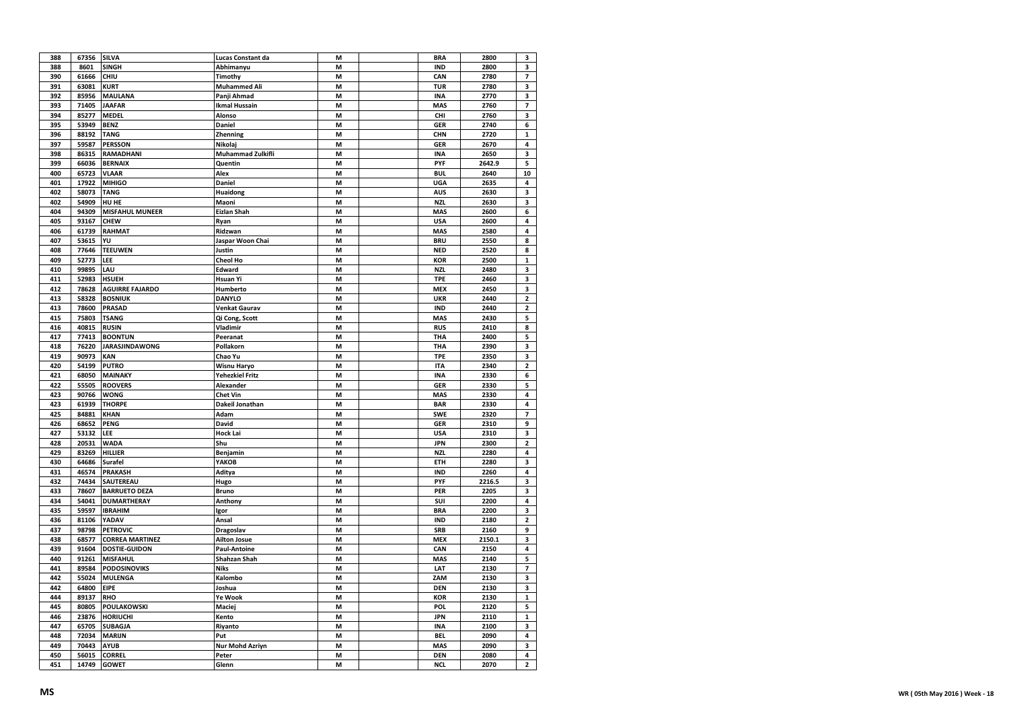| 388 | 67356 | <b>SILVA</b>           | Lucas Constant da      | M | <b>BRA</b> | 2800         | 3                       |
|-----|-------|------------------------|------------------------|---|------------|--------------|-------------------------|
| 388 | 8601  | <b>SINGH</b>           | Abhimanyu              | M | <b>IND</b> | 2800         | 3                       |
| 390 | 61666 | CHIU                   | Timothy                | M | CAN        | 2780         | 7                       |
| 391 | 63081 | <b>KURT</b>            | <b>Muhammed Ali</b>    | M | <b>TUR</b> | 2780         | 3                       |
| 392 | 85956 | <b>MAULANA</b>         | Panji Ahmad            | M | <b>INA</b> | 2770         | 3                       |
| 393 | 71405 | <b>JAAFAR</b>          | <b>Ikmal Hussain</b>   | M | <b>MAS</b> | 2760         | 7                       |
| 394 | 85277 | <b>MEDEL</b>           | Alonso                 | M | CHI        | 2760         | 3                       |
| 395 | 53949 | <b>BENZ</b>            | Daniel                 | M | <b>GER</b> | 2740         | 6                       |
| 396 | 88192 | <b>TANG</b>            | <b>Zhenning</b>        | M | CHN        | 2720         | $\mathbf{1}$            |
| 397 | 59587 | <b>PERSSON</b>         | Nikolaj                | M | <b>GER</b> | 2670         | 4                       |
| 398 | 86315 | <b>RAMADHANI</b>       | Muhammad Zulkifli      | M | <b>INA</b> | 2650         | 3                       |
| 399 | 66036 | <b>BERNAIX</b>         | Quentin                | M | PYF        | 2642.9       | 5                       |
| 400 | 65723 | <b>VLAAR</b>           | Alex                   | M | <b>BUL</b> | 2640         | 10                      |
| 401 | 17922 | <b>MIHIGO</b>          | Daniel                 | M | <b>UGA</b> |              | 4                       |
| 402 | 58073 | <b>TANG</b>            |                        | M | <b>AUS</b> | 2635<br>2630 | 3                       |
|     |       |                        | Huaidong               |   |            |              |                         |
| 402 | 54909 | HU HE                  | Maoni                  | M | <b>NZL</b> | 2630         | 3                       |
| 404 | 94309 | <b>MISFAHUL MUNEER</b> | <b>Eizlan Shah</b>     | M | <b>MAS</b> | 2600         | 6                       |
| 405 | 93167 | <b>CHEW</b>            | Ryan                   | М | <b>USA</b> | 2600         | 4                       |
| 406 | 61739 | <b>RAHMAT</b>          | Ridzwan                | М | MAS        | 2580         | 4                       |
| 407 | 53615 | YU                     | Jaspar Woon Chai       | М | <b>BRU</b> | 2550         | 8                       |
| 408 | 77646 | <b>TEEUWEN</b>         | Justin                 | М | <b>NED</b> | 2520         | 8                       |
| 409 | 52773 | LEE                    | <b>Cheol Ho</b>        | M | <b>KOR</b> | 2500         | 1                       |
| 410 | 99895 | LAU                    | Edward                 | M | <b>NZL</b> | 2480         | 3                       |
| 411 | 52983 | <b>HSUEH</b>           | Hsuan Yi               | M | <b>TPE</b> | 2460         | 3                       |
| 412 | 78628 | <b>AGUIRRE FAJARDO</b> | Humberto               | M | <b>MEX</b> | 2450         | 3                       |
| 413 | 58328 | <b>BOSNIUK</b>         | <b>DANYLO</b>          | M | <b>UKR</b> | 2440         | $\overline{\mathbf{2}}$ |
| 413 | 78600 | <b>PRASAD</b>          | Venkat Gaurav          | M | <b>IND</b> | 2440         | $\overline{\mathbf{2}}$ |
| 415 | 75803 | <b>TSANG</b>           | Qi Cong, Scott         | M | MAS        | 2430         | 5                       |
| 416 | 40815 | <b>RUSIN</b>           | Vladimir               | M | <b>RUS</b> | 2410         | 8                       |
| 417 | 77413 | <b>BOONTUN</b>         | Peeranat               | М | THA        | 2400         | 5                       |
| 418 | 76220 | <b>JARASJINDAWONG</b>  | Pollakorn              | М | THA        | 2390         | 3                       |
| 419 | 90973 | KAN                    | Chao Yu                | M | <b>TPE</b> | 2350         | 3                       |
| 420 | 54199 | <b>PUTRO</b>           | Wisnu Haryo            | M | <b>ITA</b> | 2340         | $\overline{\mathbf{c}}$ |
| 421 | 68050 | <b>MAINAKY</b>         | <b>Yehezkiel Fritz</b> | M | <b>INA</b> | 2330         | 6                       |
| 422 | 55505 | <b>ROOVERS</b>         | Alexander              | М | <b>GER</b> | 2330         | 5                       |
| 423 | 90766 | <b>WONG</b>            | <b>Chet Vin</b>        | M | <b>MAS</b> | 2330         | 4                       |
| 423 | 61939 | <b>THORPE</b>          | Dakeil Jonathan        | M | <b>BAR</b> | 2330         | 4                       |
| 425 |       |                        |                        | M | <b>SWE</b> | 2320         | 7                       |
|     | 84881 | <b>KHAN</b>            | Adam                   |   |            |              |                         |
| 426 | 68652 | PENG                   | David                  | М | <b>GER</b> | 2310         | 9                       |
| 427 | 53132 | LEE                    | <b>Hock Lai</b>        | M | <b>USA</b> | 2310         | 3                       |
| 428 | 20531 | WADA                   | Shu                    | М | <b>JPN</b> | 2300         | $\overline{\mathbf{c}}$ |
| 429 | 83269 | <b>HILLIER</b>         | Benjamin               | М | <b>NZL</b> | 2280         | 4                       |
| 430 | 64686 | <b>Surafel</b>         | <b>ҮАКОВ</b>           | М | <b>ETH</b> | 2280         | 3                       |
| 431 | 46574 | PRAKASH                | Aditya                 | M | <b>IND</b> | 2260         | 4                       |
| 432 | 74434 | SAUTEREAU              | Hugo                   | M | PYF        | 2216.5       | 3                       |
| 433 | 78607 | <b>BARRUETO DEZA</b>   | <b>Bruno</b>           | M | PER        | 2205         | 3                       |
| 434 | 54041 | <b>DUMARTHERAY</b>     | Anthony                | M | SUI        | 2200         | 4                       |
| 435 | 59597 | <b>IBRAHIM</b>         | Igor                   | M | <b>BRA</b> | 2200         | 3                       |
| 436 | 81106 | YADAV                  | Ansal                  | M | <b>IND</b> | 2180         | $\overline{2}$          |
| 437 | 98798 | <b>PETROVIC</b>        | Dragoslav              | M | <b>SRB</b> | 2160         | 9                       |
| 438 | 68577 | <b>CORREA MARTINEZ</b> | <b>Ailton Josue</b>    | M | <b>MEX</b> | 2150.1       | 3                       |
| 439 | 91604 | <b>DOSTIE-GUIDON</b>   | <b>Paul-Antoine</b>    | М | CAN        | 2150         | 4                       |
| 440 | 91261 | <b>MISFAHUL</b>        | <b>Shahzan Shah</b>    | M | <b>MAS</b> | 2140         | 5                       |
| 441 | 89584 | <b>PODOSINOVIKS</b>    | <b>Niks</b>            | M | LAT        | 2130         | 7                       |
| 442 | 55024 | <b>MULENGA</b>         | Kalombo                | M | ZAM        | 2130         | 3                       |
| 442 | 64800 | <b>EIPE</b>            | Joshua                 | M | <b>DEN</b> | 2130         | 3                       |
| 444 | 89137 | <b>RHO</b>             | Ye Wook                | M | <b>KOR</b> | 2130         | 1                       |
| 445 | 80805 | <b>POULAKOWSKI</b>     | Maciej                 | М | POL        | 2120         | 5                       |
| 446 | 23876 | <b>HORIUCHI</b>        | Kento                  | М | <b>JPN</b> | 2110         | $\mathbf{1}$            |
| 447 | 65705 | SUBAGJA                | Riyanto                | M | <b>INA</b> | 2100         | 3                       |
| 448 | 72034 | <b>MARIJN</b>          | Put                    | М | <b>BEL</b> | 2090         | 4                       |
| 449 | 70443 | <b>AYUB</b>            | <b>Nur Mohd Azriyn</b> | М | <b>MAS</b> | 2090         | 3                       |
| 450 | 56015 | <b>CORREL</b>          | Peter                  | M | <b>DEN</b> | 2080         | 4                       |
|     | 14749 |                        |                        |   |            |              | $\overline{2}$          |
| 451 |       | <b>GOWET</b>           | Glenn                  | M | <b>NCL</b> | 2070         |                         |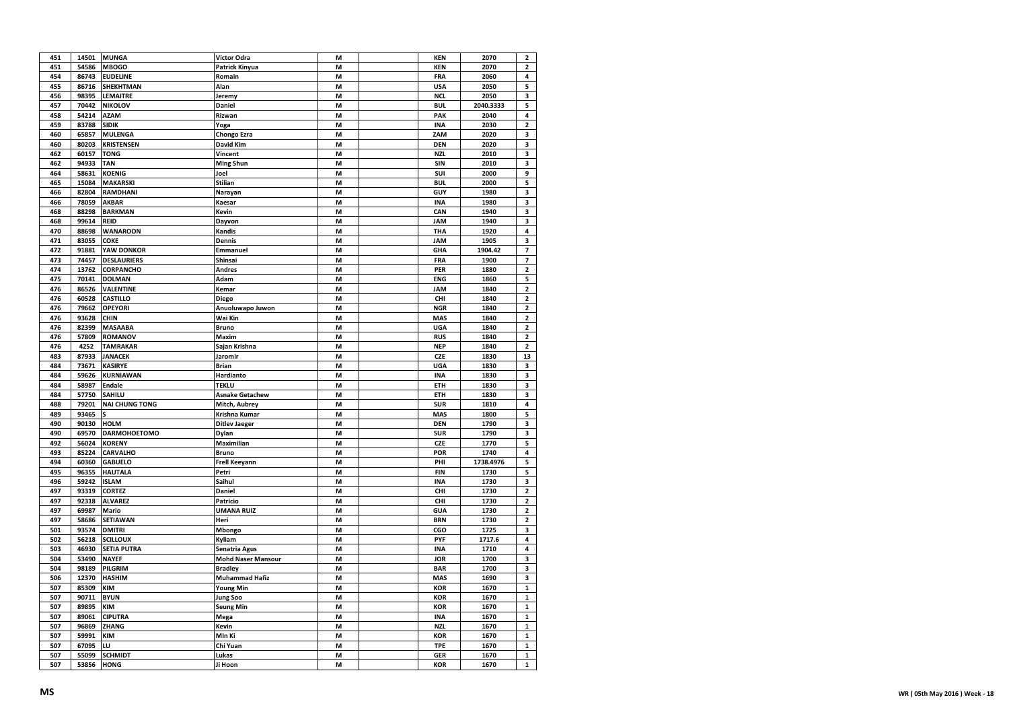| 451 | 14501 | <b>MUNGA</b>          | Victor Odra               | M | <b>KEN</b> | 2070      | $\mathbf{z}$            |
|-----|-------|-----------------------|---------------------------|---|------------|-----------|-------------------------|
| 451 | 54586 | <b>MBOGO</b>          | Patrick Kinyua            | M | <b>KEN</b> | 2070      | $\mathbf 2$             |
| 454 | 86743 | <b>EUDELINE</b>       | Romain                    | M | <b>FRA</b> | 2060      | $\overline{\mathbf{4}}$ |
| 455 | 86716 | <b>SHEKHTMAN</b>      | Alan                      | M | <b>USA</b> | 2050      | 5                       |
| 456 | 98395 | LEMAITRE              | Jeremy                    | M | <b>NCL</b> | 2050      | 3                       |
| 457 | 70442 | <b>NIKOLOV</b>        | Daniel                    | M | <b>BUL</b> | 2040.3333 | 5                       |
| 458 | 54214 | <b>AZAM</b>           | Rizwan                    | M | PAK        | 2040      | 4                       |
| 459 | 83788 | <b>SIDIK</b>          | Yoga                      | M | <b>INA</b> | 2030      | $\mathbf 2$             |
| 460 | 65857 | <b>MULENGA</b>        | Chongo Ezra               | M | ZAM        | 2020      | 3                       |
| 460 | 80203 | <b>KRISTENSEN</b>     | <b>David Kim</b>          | M | <b>DEN</b> | 2020      | 3                       |
| 462 | 60157 | <b>TONG</b>           | Vincent                   | M | <b>NZL</b> | 2010      | 3                       |
| 462 | 94933 | <b>TAN</b>            | <b>Ming Shun</b>          | M | SIN        | 2010      | 3                       |
| 464 | 58631 | <b>KOENIG</b>         | Joel                      | M | SUI        | 2000      | 9                       |
|     | 15084 |                       |                           |   | <b>BUL</b> | 2000      | 5                       |
| 465 |       | <b>MAKARSKI</b>       | <b>Stilian</b>            | M |            |           |                         |
| 466 | 82804 | <b>RAMDHANI</b>       | Narayan                   | M | GUY        | 1980      | 3                       |
| 466 | 78059 | <b>AKBAR</b>          | Kaesar                    | M | <b>INA</b> | 1980      | 3                       |
| 468 | 88298 | <b>BARKMAN</b>        | Kevin                     | М | CAN        | 1940      | 3                       |
| 468 | 99614 | <b>REID</b>           | Dayvon                    | M | JAM        | 1940      | 3                       |
| 470 | 88698 | <b>WANAROON</b>       | Kandis                    | M | THA        | 1920      | 4                       |
| 471 | 83055 | <b>COKE</b>           | Dennis                    | М | <b>JAM</b> | 1905      | 3                       |
| 472 | 91881 | YAW DONKOR            | Emmanuel                  | M | GHA        | 1904.42   | $\overline{7}$          |
| 473 | 74457 | <b>DESLAURIERS</b>    | Shinsai                   | M | FRA        | 1900      | 7                       |
| 474 | 13762 | CORPANCHO             | <b>Andres</b>             | M | PER        | 1880      | $\mathbf 2$             |
| 475 | 70141 | <b>DOLMAN</b>         | Adam                      | M | <b>ENG</b> | 1860      | 5                       |
| 476 | 86526 | <b>VALENTINE</b>      | Kemar                     | M | <b>JAM</b> | 1840      | $\mathbf{2}$            |
| 476 | 60528 | <b>CASTILLO</b>       | Diego                     | M | CHI        | 1840      | $\overline{\mathbf{c}}$ |
| 476 | 79662 | <b>OPEYORI</b>        | Anuoluwapo Juwon          | M | <b>NGR</b> | 1840      | $\mathbf 2$             |
| 476 | 93628 | CHIN                  | Wai Kin                   | M | <b>MAS</b> | 1840      | $\overline{2}$          |
| 476 | 82399 | <b>MASAABA</b>        | <b>Bruno</b>              | М | <b>UGA</b> | 1840      | 2                       |
| 476 | 57809 | <b>ROMANOV</b>        | Maxim                     | M | <b>RUS</b> | 1840      | 2                       |
| 476 | 4252  | <b>TAMRAKAR</b>       | Sajan Krishna             | M | <b>NEP</b> | 1840      | $\mathbf{2}$            |
| 483 | 87933 | <b>JANACEK</b>        | Jaromir                   | M | CZE        | 1830      | 13                      |
| 484 | 73671 | <b>KASIRYE</b>        | <b>Brian</b>              | M | <b>UGA</b> | 1830      | 3                       |
|     |       |                       |                           |   |            |           |                         |
| 484 | 59626 | <b>KURNIAWAN</b>      | Hardianto                 | M | <b>INA</b> | 1830      | 3                       |
| 484 | 58987 | Endale                | <b>TEKLU</b>              | M | ETH        | 1830      | 3                       |
| 484 | 57750 | SAHILU                | <b>Asnake Getachew</b>    | M | ETH        | 1830      | 3                       |
| 488 | 79201 | <b>NAI CHUNG TONG</b> | Mitch, Aubrey             | M | <b>SUR</b> | 1810      | $\overline{\mathbf{4}}$ |
| 489 | 93465 |                       | Krishna Kumar             | M | <b>MAS</b> | 1800      | 5                       |
| 490 | 90130 | <b>HOLM</b>           | <b>Ditlev Jaeger</b>      | M | <b>DEN</b> | 1790      | 3                       |
| 490 | 69570 | <b>DARMOHOETOMO</b>   | Dylan                     | M | <b>SUR</b> | 1790      | 3                       |
| 492 | 56024 | <b>KORENY</b>         | Maximilian                | M | CZE        | 1770      | 5                       |
| 493 | 85224 | <b>CARVALHO</b>       | <b>Bruno</b>              | M | POR        | 1740      | 4                       |
| 494 | 60360 | <b>GABUELO</b>        | <b>Frell Keeyann</b>      | M | PHI        | 1738.4976 | 5                       |
| 495 | 96355 | <b>HAUTALA</b>        | Petri                     | M | <b>FIN</b> | 1730      | 5                       |
| 496 | 59242 | <b>ISLAM</b>          | Saihul                    | M | <b>INA</b> | 1730      | 3                       |
| 497 | 93319 | <b>CORTEZ</b>         | Daniel                    | M | CHI        | 1730      | $\overline{2}$          |
| 497 | 92318 | <b>ALVAREZ</b>        | Patricio                  | M | CHI        | 1730      | 2                       |
| 497 | 69987 | Mario                 | <b>UMANA RUIZ</b>         | М | <b>GUA</b> | 1730      | 2                       |
| 497 | 58686 | <b>SETIAWAN</b>       | Heri                      | M | <b>BRN</b> | 1730      | $\overline{\mathbf{2}}$ |
| 501 | 93574 | <b>DMITRI</b>         | Mbongo                    | M | CGO        | 1725      | 3                       |
| 502 | 56218 | <b>SCILLOUX</b>       | Kyliam                    | M | PYF        | 1717.6    | 4                       |
| 503 | 46930 | <b>SETIA PUTRA</b>    | Senatria Agus             | M | <b>INA</b> | 1710      | 4                       |
| 504 | 53490 | <b>NAYEF</b>          | <b>Mohd Naser Mansour</b> | M | JOR        | 1700      | 3                       |
| 504 | 98189 | PILGRIM               | <b>Bradley</b>            | M | <b>BAR</b> | 1700      | 3                       |
| 506 | 12370 | <b>HASHIM</b>         | <b>Muhammad Hafiz</b>     | M | <b>MAS</b> | 1690      | 3                       |
| 507 | 85309 | <b>KIM</b>            | Young Min                 | M | <b>KOR</b> | 1670      | $\mathbf{1}$            |
|     |       |                       |                           |   |            |           |                         |
| 507 | 90711 | <b>BYUN</b>           | <b>Jung Soo</b>           | M | <b>KOR</b> | 1670      | 1                       |
| 507 | 89895 | <b>KIM</b>            | <b>Seung Min</b>          | M | <b>KOR</b> | 1670      | $\mathbf 1$             |
| 507 | 89061 | <b>CIPUTRA</b>        | Mega                      | M | <b>INA</b> | 1670      | $\mathbf 1$             |
| 507 | 96869 | ZHANG                 | Kevin                     | М | <b>NZL</b> | 1670      | 1                       |
| 507 | 59991 | <b>KIM</b>            | MIn Ki                    | M | <b>KOR</b> | 1670      | $\mathbf 1$             |
| 507 | 67095 | LU                    | Chi Yuan                  | M | <b>TPE</b> | 1670      | $\mathbf{1}$            |
| 507 | 55099 | <b>SCHMIDT</b>        | Lukas                     | M | <b>GER</b> | 1670      | $\mathbf{1}$            |
| 507 | 53856 | <b>HONG</b>           | Ji Hoon                   | M | <b>KOR</b> | 1670      | $\mathbf{1}$            |